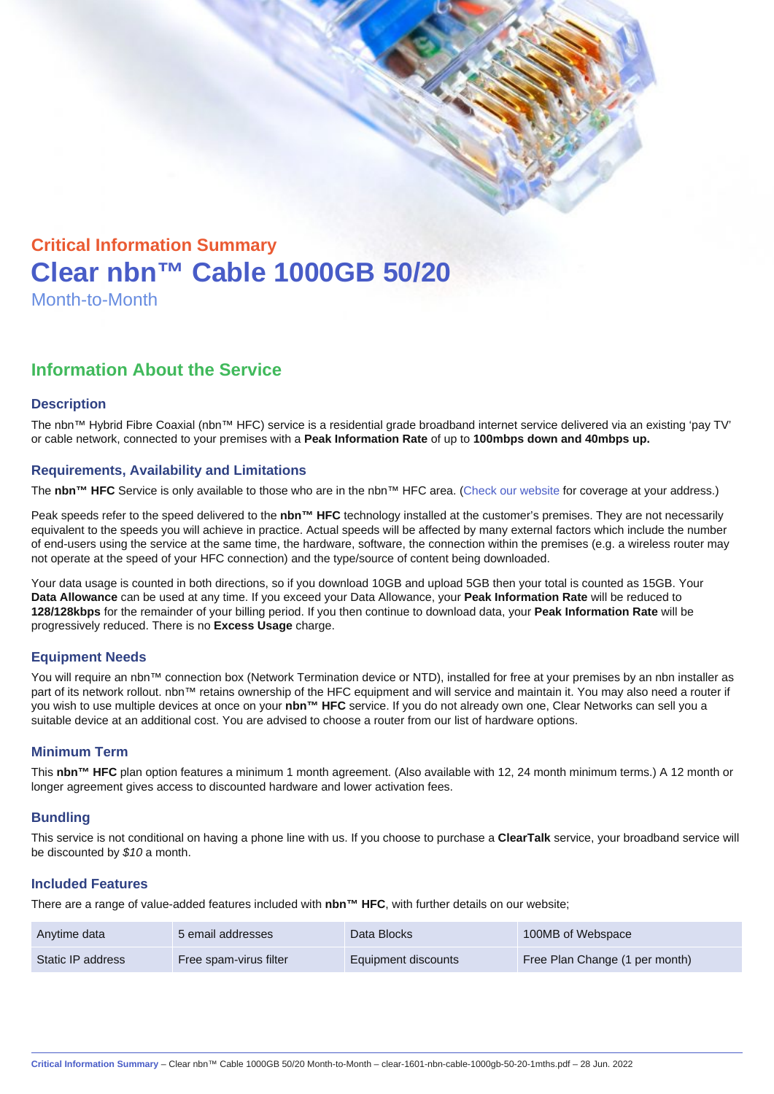# Critical Information Summary Clear nbn™ Cable 1000GB 50/20 Month-to-Month

## Information About the Service

#### **Description**

The nbn™ Hybrid Fibre Coaxial (nbn™ HFC) service is a residential grade broadband internet service delivered via an existing 'pay TV' or cable network, connected to your premises with a Peak Information Rate of up to 100mbps down and 40mbps up.

#### Requirements, Availability and Limitations

The nbn™ HFC Service is only available to those who are in the nbn™ HFC area. ([Check our website](https://www.clear.com.au/residential/nbn-fixed/) for coverage at your address.)

Peak speeds refer to the speed delivered to the nbn™ HFC technology installed at the customer's premises. They are not necessarily equivalent to the speeds you will achieve in practice. Actual speeds will be affected by many external factors which include the number of end-users using the service at the same time, the hardware, software, the connection within the premises (e.g. a wireless router may not operate at the speed of your HFC connection) and the type/source of content being downloaded.

Your data usage is counted in both directions, so if you download 10GB and upload 5GB then your total is counted as 15GB. Your Data Allowance can be used at any time. If you exceed your Data Allowance, your Peak Information Rate will be reduced to 128/128kbps for the remainder of your billing period. If you then continue to download data, your Peak Information Rate will be progressively reduced. There is no Excess Usage charge.

#### Equipment Needs

You will require an nbn™ connection box (Network Termination device or NTD), installed for free at your premises by an nbn installer as part of its network rollout. nbn™ retains ownership of the HFC equipment and will service and maintain it. You may also need a router if you wish to use multiple devices at once on your nbn™ HFC service. If you do not already own one, Clear Networks can sell you a suitable device at an additional cost. You are advised to choose a router from our list of hardware options.

#### Minimum Term

This nbn™ HFC plan option features a minimum 1 month agreement. (Also available with 12, 24 month minimum terms.) A 12 month or longer agreement gives access to discounted hardware and lower activation fees.

#### **Bundling**

This service is not conditional on having a phone line with us. If you choose to purchase a ClearTalk service, your broadband service will be discounted by \$10 a month.

#### Included Features

There are a range of value-added features included with nbn™ HFC , with further details on our website;

| Anytime data      | 5 email addresses      | Data Blocks         | 100MB of Webspace              |
|-------------------|------------------------|---------------------|--------------------------------|
| Static IP address | Free spam-virus filter | Equipment discounts | Free Plan Change (1 per month) |